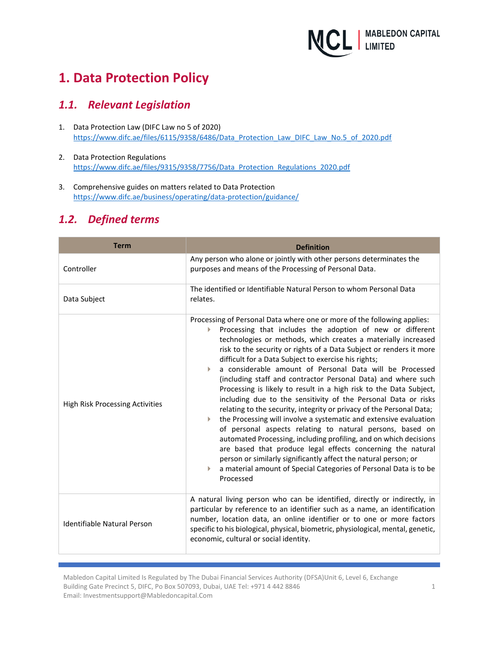

# **1. Data Protection Policy**

### *1.1. Relevant Legislation*

- 1. Data Protection Law (DIFC Law no 5 of 2020) [https://www.difc.ae/files/6115/9358/6486/Data\\_Protection\\_Law\\_DIFC\\_Law\\_No.5\\_of\\_2020.pdf](https://www.difc.ae/files/6115/9358/6486/Data_Protection_Law_DIFC_Law_No.5_of_2020.pdf)
- 2. Data Protection Regulations [https://www.difc.ae/files/9315/9358/7756/Data\\_Protection\\_Regulations\\_2020.pdf](https://www.difc.ae/files/9315/9358/7756/Data_Protection_Regulations_2020.pdf)
- 3. Comprehensive guides on matters related to Data Protection <https://www.difc.ae/business/operating/data-protection/guidance/>

## *1.2. Defined terms*

| <b>Term</b>                            | <b>Definition</b>                                                                                                                                                                                                                                                                                                                                                                                                                                                                                                                                                                                                                                                                                                                                                                                                                                                                                                                                                                                                                                                                                                       |  |  |  |
|----------------------------------------|-------------------------------------------------------------------------------------------------------------------------------------------------------------------------------------------------------------------------------------------------------------------------------------------------------------------------------------------------------------------------------------------------------------------------------------------------------------------------------------------------------------------------------------------------------------------------------------------------------------------------------------------------------------------------------------------------------------------------------------------------------------------------------------------------------------------------------------------------------------------------------------------------------------------------------------------------------------------------------------------------------------------------------------------------------------------------------------------------------------------------|--|--|--|
| Controller                             | Any person who alone or jointly with other persons determinates the<br>purposes and means of the Processing of Personal Data.                                                                                                                                                                                                                                                                                                                                                                                                                                                                                                                                                                                                                                                                                                                                                                                                                                                                                                                                                                                           |  |  |  |
| Data Subject                           | The identified or Identifiable Natural Person to whom Personal Data<br>relates.                                                                                                                                                                                                                                                                                                                                                                                                                                                                                                                                                                                                                                                                                                                                                                                                                                                                                                                                                                                                                                         |  |  |  |
| <b>High Risk Processing Activities</b> | Processing of Personal Data where one or more of the following applies:<br>Processing that includes the adoption of new or different<br>Þ.<br>technologies or methods, which creates a materially increased<br>risk to the security or rights of a Data Subject or renders it more<br>difficult for a Data Subject to exercise his rights;<br>a considerable amount of Personal Data will be Processed<br>(including staff and contractor Personal Data) and where such<br>Processing is likely to result in a high risk to the Data Subject,<br>including due to the sensitivity of the Personal Data or risks<br>relating to the security, integrity or privacy of the Personal Data;<br>the Processing will involve a systematic and extensive evaluation<br>of personal aspects relating to natural persons, based on<br>automated Processing, including profiling, and on which decisions<br>are based that produce legal effects concerning the natural<br>person or similarly significantly affect the natural person; or<br>a material amount of Special Categories of Personal Data is to be<br>Þ<br>Processed |  |  |  |
| Identifiable Natural Person            | A natural living person who can be identified, directly or indirectly, in<br>particular by reference to an identifier such as a name, an identification<br>number, location data, an online identifier or to one or more factors<br>specific to his biological, physical, biometric, physiological, mental, genetic,<br>economic, cultural or social identity.                                                                                                                                                                                                                                                                                                                                                                                                                                                                                                                                                                                                                                                                                                                                                          |  |  |  |

Mabledon Capital Limited Is Regulated by The Dubai Financial Services Authority (DFSA)Unit 6, Level 6, Exchange Building Gate Precinct 5, DIFC, Po Box 507093, Dubai, UAE Tel: +971 4 442 8846 Email: Investmentsupport@Mabledoncapital.Com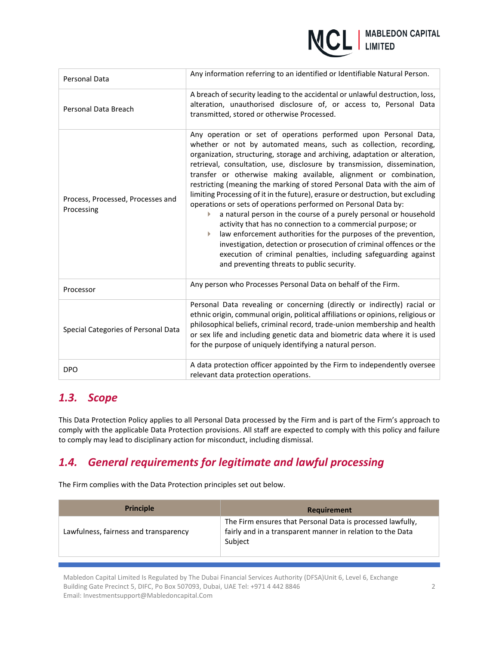

| Personal Data                                   | Any information referring to an identified or Identifiable Natural Person.                                                                                                                                                                                                                                                                                                                                                                                                                                                                                                                                                                                                                                                                                                                                                                                                                                                                                                                            |  |  |
|-------------------------------------------------|-------------------------------------------------------------------------------------------------------------------------------------------------------------------------------------------------------------------------------------------------------------------------------------------------------------------------------------------------------------------------------------------------------------------------------------------------------------------------------------------------------------------------------------------------------------------------------------------------------------------------------------------------------------------------------------------------------------------------------------------------------------------------------------------------------------------------------------------------------------------------------------------------------------------------------------------------------------------------------------------------------|--|--|
| Personal Data Breach                            | A breach of security leading to the accidental or unlawful destruction, loss,<br>alteration, unauthorised disclosure of, or access to, Personal Data<br>transmitted, stored or otherwise Processed.                                                                                                                                                                                                                                                                                                                                                                                                                                                                                                                                                                                                                                                                                                                                                                                                   |  |  |
| Process, Processed, Processes and<br>Processing | Any operation or set of operations performed upon Personal Data,<br>whether or not by automated means, such as collection, recording,<br>organization, structuring, storage and archiving, adaptation or alteration,<br>retrieval, consultation, use, disclosure by transmission, dissemination,<br>transfer or otherwise making available, alignment or combination,<br>restricting (meaning the marking of stored Personal Data with the aim of<br>limiting Processing of it in the future), erasure or destruction, but excluding<br>operations or sets of operations performed on Personal Data by:<br>a natural person in the course of a purely personal or household<br>activity that has no connection to a commercial purpose; or<br>law enforcement authorities for the purposes of the prevention,<br>investigation, detection or prosecution of criminal offences or the<br>execution of criminal penalties, including safeguarding against<br>and preventing threats to public security. |  |  |
| Processor                                       | Any person who Processes Personal Data on behalf of the Firm.                                                                                                                                                                                                                                                                                                                                                                                                                                                                                                                                                                                                                                                                                                                                                                                                                                                                                                                                         |  |  |
| Special Categories of Personal Data             | Personal Data revealing or concerning (directly or indirectly) racial or<br>ethnic origin, communal origin, political affiliations or opinions, religious or<br>philosophical beliefs, criminal record, trade-union membership and health<br>or sex life and including genetic data and biometric data where it is used<br>for the purpose of uniquely identifying a natural person.                                                                                                                                                                                                                                                                                                                                                                                                                                                                                                                                                                                                                  |  |  |
| <b>DPO</b>                                      | A data protection officer appointed by the Firm to independently oversee<br>relevant data protection operations.                                                                                                                                                                                                                                                                                                                                                                                                                                                                                                                                                                                                                                                                                                                                                                                                                                                                                      |  |  |

# *1.3. Scope*

This Data Protection Policy applies to all Personal Data processed by the Firm and is part of the Firm's approach to comply with the applicable Data Protection provisions. All staff are expected to comply with this policy and failure to comply may lead to disciplinary action for misconduct, including dismissal.

# *1.4. General requirements for legitimate and lawful processing*

The Firm complies with the Data Protection principles set out below.

| <b>Principle</b>                      | Requirement                                                                                                                         |
|---------------------------------------|-------------------------------------------------------------------------------------------------------------------------------------|
| Lawfulness, fairness and transparency | The Firm ensures that Personal Data is processed lawfully,<br>fairly and in a transparent manner in relation to the Data<br>Subject |
|                                       |                                                                                                                                     |

Mabledon Capital Limited Is Regulated by The Dubai Financial Services Authority (DFSA)Unit 6, Level 6, Exchange Building Gate Precinct 5, DIFC, Po Box 507093, Dubai, UAE Tel: +971 4 442 8846 Email: Investmentsupport@Mabledoncapital.Com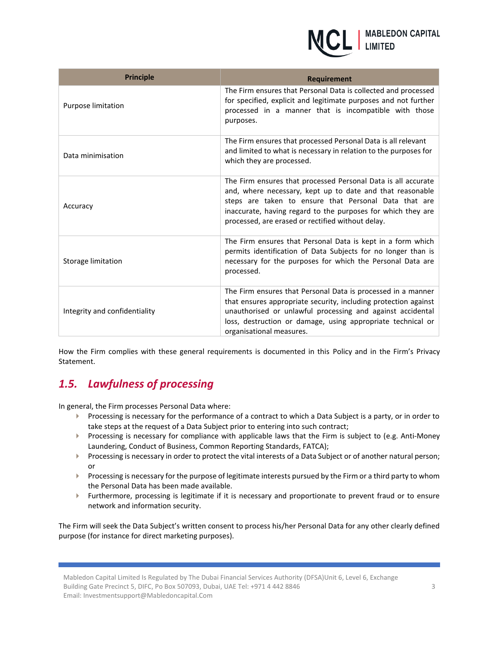

| <b>Principle</b>              | Requirement                                                                                                                                                                                                                                                                                              |  |  |  |
|-------------------------------|----------------------------------------------------------------------------------------------------------------------------------------------------------------------------------------------------------------------------------------------------------------------------------------------------------|--|--|--|
| Purpose limitation            | The Firm ensures that Personal Data is collected and processed<br>for specified, explicit and legitimate purposes and not further<br>processed in a manner that is incompatible with those<br>purposes.                                                                                                  |  |  |  |
| Data minimisation             | The Firm ensures that processed Personal Data is all relevant<br>and limited to what is necessary in relation to the purposes for<br>which they are processed.                                                                                                                                           |  |  |  |
| Accuracy                      | The Firm ensures that processed Personal Data is all accurate<br>and, where necessary, kept up to date and that reasonable<br>steps are taken to ensure that Personal Data that are<br>inaccurate, having regard to the purposes for which they are<br>processed, are erased or rectified without delay. |  |  |  |
| Storage limitation            | The Firm ensures that Personal Data is kept in a form which<br>permits identification of Data Subjects for no longer than is<br>necessary for the purposes for which the Personal Data are<br>processed.                                                                                                 |  |  |  |
| Integrity and confidentiality | The Firm ensures that Personal Data is processed in a manner<br>that ensures appropriate security, including protection against<br>unauthorised or unlawful processing and against accidental<br>loss, destruction or damage, using appropriate technical or<br>organisational measures.                 |  |  |  |

How the Firm complies with these general requirements is documented in this Policy and in the Firm's Privacy Statement.

## *1.5. Lawfulness of processing*

In general, the Firm processes Personal Data where:

- Processing is necessary for the performance of a contract to which a Data Subject is a party, or in order to take steps at the request of a Data Subject prior to entering into such contract;
- Processing is necessary for compliance with applicable laws that the Firm is subject to (e.g. Anti-Money Laundering, Conduct of Business, Common Reporting Standards, FATCA);
- Processing is necessary in order to protect the vital interests of a Data Subject or of another natural person; or
- Processing is necessary for the purpose of legitimate interests pursued by the Firm or a third party to whom the Personal Data has been made available.
- Furthermore, processing is legitimate if it is necessary and proportionate to prevent fraud or to ensure network and information security.

The Firm will seek the Data Subject's written consent to process his/her Personal Data for any other clearly defined purpose (for instance for direct marketing purposes).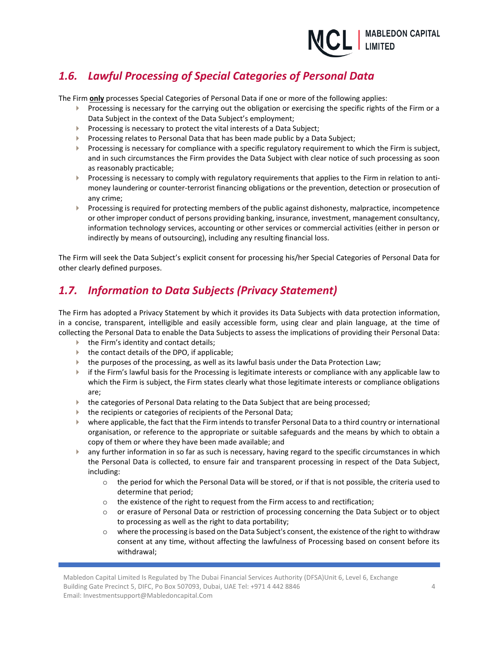

# *1.6. Lawful Processing of Special Categories of Personal Data*

The Firm **only** processes Special Categories of Personal Data if one or more of the following applies:

- Processing is necessary for the carrying out the obligation or exercising the specific rights of the Firm or a Data Subject in the context of the Data Subject's employment;
- Processing is necessary to protect the vital interests of a Data Subject;
- Processing relates to Personal Data that has been made public by a Data Subject;
- Processing is necessary for compliance with a specific regulatory requirement to which the Firm is subject, and in such circumstances the Firm provides the Data Subject with clear notice of such processing as soon as reasonably practicable;
- Processing is necessary to comply with regulatory requirements that applies to the Firm in relation to antimoney laundering or counter-terrorist financing obligations or the prevention, detection or prosecution of any crime;
- $\blacktriangleright$  Processing is required for protecting members of the public against dishonesty, malpractice, incompetence or other improper conduct of persons providing banking, insurance, investment, management consultancy, information technology services, accounting or other services or commercial activities (either in person or indirectly by means of outsourcing), including any resulting financial loss.

The Firm will seek the Data Subject's explicit consent for processing his/her Special Categories of Personal Data for other clearly defined purposes.

## *1.7. Information to Data Subjects (Privacy Statement)*

The Firm has adopted a Privacy Statement by which it provides its Data Subjects with data protection information, in a concise, transparent, intelligible and easily accessible form, using clear and plain language, at the time of collecting the Personal Data to enable the Data Subjects to assess the implications of providing their Personal Data:

- $\blacktriangleright$  the Firm's identity and contact details;
- $\blacktriangleright$  the contact details of the DPO, if applicable;
- the purposes of the processing, as well as its lawful basis under the Data Protection Law;
- if the Firm's lawful basis for the Processing is legitimate interests or compliance with any applicable law to which the Firm is subject, the Firm states clearly what those legitimate interests or compliance obligations are;
- $\blacktriangleright$  the categories of Personal Data relating to the Data Subject that are being processed;
- the recipients or categories of recipients of the Personal Data;
- where applicable, the fact that the Firm intends to transfer Personal Data to a third country or international organisation, or reference to the appropriate or suitable safeguards and the means by which to obtain a copy of them or where they have been made available; and
- any further information in so far as such is necessary, having regard to the specific circumstances in which the Personal Data is collected, to ensure fair and transparent processing in respect of the Data Subject, including:
	- $\circ$  the period for which the Personal Data will be stored, or if that is not possible, the criteria used to determine that period;
	- $\circ$  the existence of the right to request from the Firm access to and rectification;
	- o or erasure of Personal Data or restriction of processing concerning the Data Subject or to object to processing as well as the right to data portability;
	- $\circ$  where the processing is based on the Data Subject's consent, the existence of the right to withdraw consent at any time, without affecting the lawfulness of Processing based on consent before its withdrawal;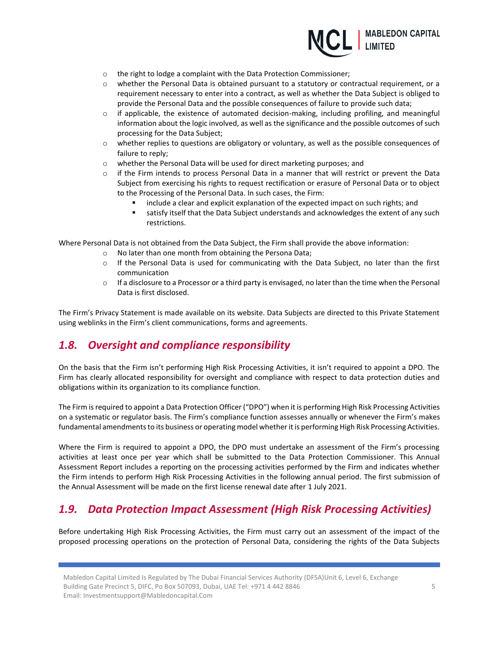

- o the right to lodge a complaint with the Data Protection Commissioner;
- $\circ$  whether the Personal Data is obtained pursuant to a statutory or contractual requirement, or a requirement necessary to enter into a contract, as well as whether the Data Subject is obliged to provide the Personal Data and the possible consequences of failure to provide such data;
- $\circ$  if applicable, the existence of automated decision-making, including profiling, and meaningful information about the logic involved, as well as the significance and the possible outcomes of such processing for the Data Subject;
- o whether replies to questions are obligatory or voluntary, as well as the possible consequences of failure to reply;
- o whether the Personal Data will be used for direct marketing purposes; and
- o if the Firm intends to process Personal Data in a manner that will restrict or prevent the Data Subject from exercising his rights to request rectification or erasure of Personal Data or to object to the Processing of the Personal Data. In such cases, the Firm:
	- include a clear and explicit explanation of the expected impact on such rights; and
	- satisfy itself that the Data Subject understands and acknowledges the extent of any such restrictions.

Where Personal Data is not obtained from the Data Subject, the Firm shall provide the above information:

- o No later than one month from obtaining the Persona Data;
- $\circ$  If the Personal Data is used for communicating with the Data Subject, no later than the first communication
- $\circ$  If a disclosure to a Processor or a third party is envisaged, no later than the time when the Personal Data is first disclosed.

The Firm's Privacy Statement is made available on its website. Data Subjects are directed to this Private Statement using weblinks in the Firm's client communications, forms and agreements.

### *1.8. Oversight and compliance responsibility*

On the basis that the Firm isn't performing High Risk Processing Activities, it isn't required to appoint a DPO. The Firm has clearly allocated responsibility for oversight and compliance with respect to data protection duties and obligations within its organization to its compliance function.

The Firm is required to appoint a Data Protection Officer ("DPO") when it is performing High Risk Processing Activities on a systematic or regulator basis. The Firm's compliance function assesses annually or whenever the Firm's makes fundamental amendments to its business or operating model whether it is performing High Risk Processing Activities.

Where the Firm is required to appoint a DPO, the DPO must undertake an assessment of the Firm's processing activities at least once per year which shall be submitted to the Data Protection Commissioner. This Annual Assessment Report includes a reporting on the processing activities performed by the Firm and indicates whether the Firm intends to perform High Risk Processing Activities in the following annual period. The first submission of the Annual Assessment will be made on the first license renewal date after 1 July 2021.

### *1.9. Data Protection Impact Assessment (High Risk Processing Activities)*

Before undertaking High Risk Processing Activities, the Firm must carry out an assessment of the impact of the proposed processing operations on the protection of Personal Data, considering the rights of the Data Subjects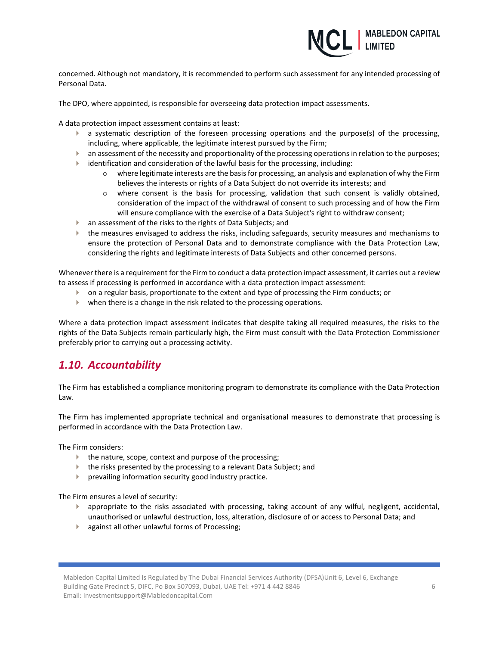

concerned. Although not mandatory, it is recommended to perform such assessment for any intended processing of Personal Data.

The DPO, where appointed, is responsible for overseeing data protection impact assessments.

A data protection impact assessment contains at least:

- $\blacktriangleright$  a systematic description of the foreseen processing operations and the purpose(s) of the processing, including, where applicable, the legitimate interest pursued by the Firm;
- $\blacktriangleright$  an assessment of the necessity and proportionality of the processing operations in relation to the purposes;
- identification and consideration of the lawful basis for the processing, including:
	- $\circ$  where legitimate interests are the basis for processing, an analysis and explanation of why the Firm believes the interests or rights of a Data Subject do not override its interests; and
	- o where consent is the basis for processing, validation that such consent is validly obtained, consideration of the impact of the withdrawal of consent to such processing and of how the Firm will ensure compliance with the exercise of a Data Subject's right to withdraw consent;
- an assessment of the risks to the rights of Data Subjects; and
- the measures envisaged to address the risks, including safeguards, security measures and mechanisms to ensure the protection of Personal Data and to demonstrate compliance with the Data Protection Law, considering the rights and legitimate interests of Data Subjects and other concerned persons.

Whenever there is a requirement for the Firm to conduct a data protection impact assessment, it carries out a review to assess if processing is performed in accordance with a data protection impact assessment:

- on a regular basis, proportionate to the extent and type of processing the Firm conducts; or
- when there is a change in the risk related to the processing operations.

Where a data protection impact assessment indicates that despite taking all required measures, the risks to the rights of the Data Subjects remain particularly high, the Firm must consult with the Data Protection Commissioner preferably prior to carrying out a processing activity.

### *1.10. Accountability*

The Firm has established a compliance monitoring program to demonstrate its compliance with the Data Protection Law.

The Firm has implemented appropriate technical and organisational measures to demonstrate that processing is performed in accordance with the Data Protection Law.

The Firm considers:

- the nature, scope, context and purpose of the processing;
- the risks presented by the processing to a relevant Data Subject; and
- **Peropending information security good industry practice.**

The Firm ensures a level of security:

- appropriate to the risks associated with processing, taking account of any wilful, negligent, accidental, unauthorised or unlawful destruction, loss, alteration, disclosure of or access to Personal Data; and
- **against all other unlawful forms of Processing:**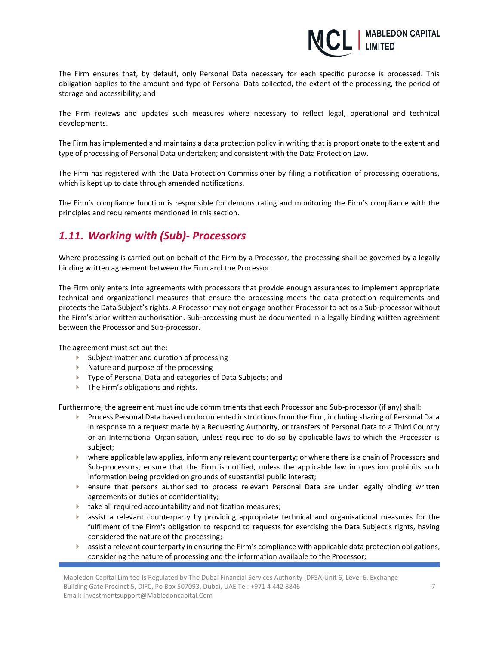

The Firm ensures that, by default, only Personal Data necessary for each specific purpose is processed. This obligation applies to the amount and type of Personal Data collected, the extent of the processing, the period of storage and accessibility; and

The Firm reviews and updates such measures where necessary to reflect legal, operational and technical developments.

The Firm has implemented and maintains a data protection policy in writing that is proportionate to the extent and type of processing of Personal Data undertaken; and consistent with the Data Protection Law.

The Firm has registered with the Data Protection Commissioner by filing a notification of processing operations, which is kept up to date through amended notifications.

The Firm's compliance function is responsible for demonstrating and monitoring the Firm's compliance with the principles and requirements mentioned in this section.

### *1.11. Working with (Sub)- Processors*

Where processing is carried out on behalf of the Firm by a Processor, the processing shall be governed by a legally binding written agreement between the Firm and the Processor.

The Firm only enters into agreements with processors that provide enough assurances to implement appropriate technical and organizational measures that ensure the processing meets the data protection requirements and protects the Data Subject's rights. A Processor may not engage another Processor to act as a Sub-processor without the Firm's prior written authorisation. Sub-processing must be documented in a legally binding written agreement between the Processor and Sub-processor.

The agreement must set out the:

- Subject-matter and duration of processing
- $\blacktriangleright$  Nature and purpose of the processing
- **Type of Personal Data and categories of Data Subjects; and**
- ▶ The Firm's obligations and rights.

Furthermore, the agreement must include commitments that each Processor and Sub-processor (if any) shall:

- Process Personal Data based on documented instructions from the Firm, including sharing of Personal Data in response to a request made by a Requesting Authority, or transfers of Personal Data to a Third Country or an International Organisation, unless required to do so by applicable laws to which the Processor is subject;
- where applicable law applies, inform any relevant counterparty; or where there is a chain of Processors and Sub-processors, ensure that the Firm is notified, unless the applicable law in question prohibits such information being provided on grounds of substantial public interest;
- ensure that persons authorised to process relevant Personal Data are under legally binding written agreements or duties of confidentiality;
- take all required accountability and notification measures;
- $\blacktriangleright$  assist a relevant counterparty by providing appropriate technical and organisational measures for the fulfilment of the Firm's obligation to respond to requests for exercising the Data Subject's rights, having considered the nature of the processing;
- **assist a relevant counterparty in ensuring the Firm's compliance with applicable data protection obligations,** considering the nature of processing and the information available to the Processor;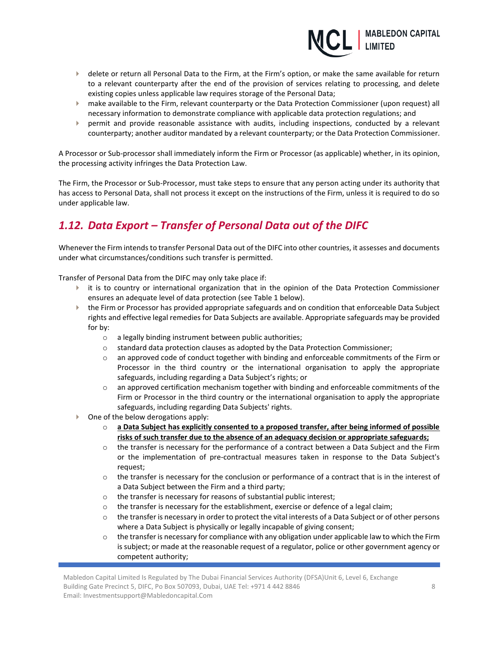

- delete or return all Personal Data to the Firm, at the Firm's option, or make the same available for return to a relevant counterparty after the end of the provision of services relating to processing, and delete existing copies unless applicable law requires storage of the Personal Data;
- make available to the Firm, relevant counterparty or the Data Protection Commissioner (upon request) all necessary information to demonstrate compliance with applicable data protection regulations; and
- permit and provide reasonable assistance with audits, including inspections, conducted by a relevant counterparty; another auditor mandated by a relevant counterparty; or the Data Protection Commissioner.

A Processor or Sub-processor shall immediately inform the Firm or Processor (as applicable) whether, in its opinion, the processing activity infringes the Data Protection Law.

The Firm, the Processor or Sub-Processor, must take steps to ensure that any person acting under its authority that has access to Personal Data, shall not process it except on the instructions of the Firm, unless it is required to do so under applicable law.

# *1.12. Data Export – Transfer of Personal Data out of the DIFC*

Whenever the Firm intends to transfer Personal Data out of the DIFC into other countries, it assesses and documents under what circumstances/conditions such transfer is permitted.

Transfer of Personal Data from the DIFC may only take place if:

- $\blacktriangleright$  it is to country or international organization that in the opinion of the Data Protection Commissioner ensures an adequate level of data protection (see Table 1 below).
- $\blacktriangleright$  the Firm or Processor has provided appropriate safeguards and on condition that enforceable Data Subject rights and effective legal remedies for Data Subjects are available. Appropriate safeguards may be provided for by:
	- o a legally binding instrument between public authorities;
	- o standard data protection clauses as adopted by the Data Protection Commissioner;
	- o an approved code of conduct together with binding and enforceable commitments of the Firm or Processor in the third country or the international organisation to apply the appropriate safeguards, including regarding a Data Subject's rights; or
	- $\circ$  an approved certification mechanism together with binding and enforceable commitments of the Firm or Processor in the third country or the international organisation to apply the appropriate safeguards, including regarding Data Subjects' rights.
- $\triangleright$  One of the below derogations apply:
	- o **a Data Subject has explicitly consented to a proposed transfer, after being informed of possible risks of such transfer due to the absence of an adequacy decision or appropriate safeguards;**
	- $\circ$  the transfer is necessary for the performance of a contract between a Data Subject and the Firm or the implementation of pre-contractual measures taken in response to the Data Subject's request;
	- o the transfer is necessary for the conclusion or performance of a contract that is in the interest of a Data Subject between the Firm and a third party;
	- o the transfer is necessary for reasons of substantial public interest;
	- o the transfer is necessary for the establishment, exercise or defence of a legal claim;
	- $\circ$  the transfer is necessary in order to protect the vital interests of a Data Subject or of other persons where a Data Subject is physically or legally incapable of giving consent;
	- $\circ$  the transfer is necessary for compliance with any obligation under applicable law to which the Firm is subject; or made at the reasonable request of a regulator, police or other government agency or competent authority;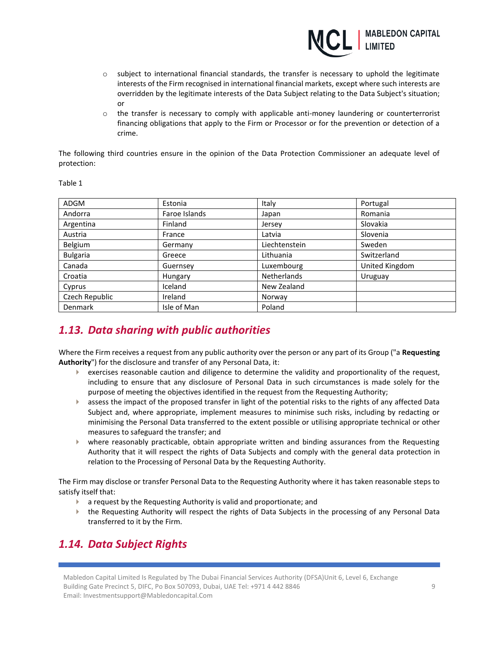

- o subject to international financial standards, the transfer is necessary to uphold the legitimate interests of the Firm recognised in international financial markets, except where such interests are overridden by the legitimate interests of the Data Subject relating to the Data Subject's situation; or
- $\circ$  the transfer is necessary to comply with applicable anti-money laundering or counterterrorist financing obligations that apply to the Firm or Processor or for the prevention or detection of a crime.

The following third countries ensure in the opinion of the Data Protection Commissioner an adequate level of protection:

| ADGM            | Estonia       | Italy              | Portugal       |
|-----------------|---------------|--------------------|----------------|
| Andorra         | Faroe Islands | Japan              | Romania        |
| Argentina       | Finland       | Jersey             | Slovakia       |
| Austria         | France        | Latvia             | Slovenia       |
| Belgium         | Germany       | Liechtenstein      | Sweden         |
| <b>Bulgaria</b> | Greece        | Lithuania          | Switzerland    |
| Canada          | Guernsey      | Luxembourg         | United Kingdom |
| Croatia         | Hungary       | <b>Netherlands</b> | Uruguay        |
| Cyprus          | Iceland       | New Zealand        |                |
| Czech Republic  | Ireland       | Norway             |                |
| Denmark         | Isle of Man   | Poland             |                |

Table 1

## *1.13. Data sharing with public authorities*

Where the Firm receives a request from any public authority over the person or any part of its Group ("a **Requesting Authority**") for the disclosure and transfer of any Personal Data, it:

- $\blacktriangleright$  exercises reasonable caution and diligence to determine the validity and proportionality of the request, including to ensure that any disclosure of Personal Data in such circumstances is made solely for the purpose of meeting the objectives identified in the request from the Requesting Authority;
- $\blacktriangleright$  assess the impact of the proposed transfer in light of the potential risks to the rights of any affected Data Subject and, where appropriate, implement measures to minimise such risks, including by redacting or minimising the Personal Data transferred to the extent possible or utilising appropriate technical or other measures to safeguard the transfer; and
- where reasonably practicable, obtain appropriate written and binding assurances from the Requesting Authority that it will respect the rights of Data Subjects and comply with the general data protection in relation to the Processing of Personal Data by the Requesting Authority.

The Firm may disclose or transfer Personal Data to the Requesting Authority where it has taken reasonable steps to satisfy itself that:

- a request by the Requesting Authority is valid and proportionate; and
- the Requesting Authority will respect the rights of Data Subjects in the processing of any Personal Data transferred to it by the Firm.

# *1.14. Data Subject Rights*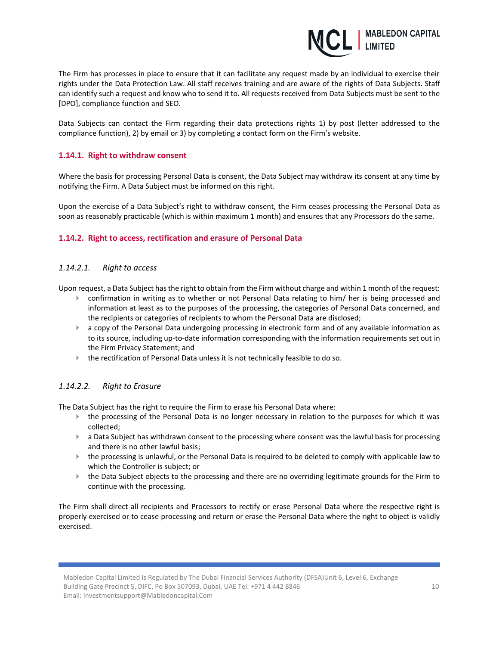

The Firm has processes in place to ensure that it can facilitate any request made by an individual to exercise their rights under the Data Protection Law. All staff receives training and are aware of the rights of Data Subjects. Staff can identify such a request and know who to send it to. All requests received from Data Subjects must be sent to the [DPO], compliance function and SEO.

Data Subjects can contact the Firm regarding their data protections rights 1) by post (letter addressed to the compliance function), 2) by email or 3) by completing a contact form on the Firm's website.

#### **1.14.1. Right to withdraw consent**

Where the basis for processing Personal Data is consent, the Data Subject may withdraw its consent at any time by notifying the Firm. A Data Subject must be informed on this right.

Upon the exercise of a Data Subject's right to withdraw consent, the Firm ceases processing the Personal Data as soon as reasonably practicable (which is within maximum 1 month) and ensures that any Processors do the same.

#### **1.14.2. Right to access, rectification and erasure of Personal Data**

#### *1.14.2.1. Right to access*

Upon request, a Data Subject has the right to obtain from the Firm without charge and within 1 month of the request:

- confirmation in writing as to whether or not Personal Data relating to him/ her is being processed and information at least as to the purposes of the processing, the categories of Personal Data concerned, and the recipients or categories of recipients to whom the Personal Data are disclosed;
- **a** a copy of the Personal Data undergoing processing in electronic form and of any available information as to its source, including up-to-date information corresponding with the information requirements set out in the Firm Privacy Statement; and
- the rectification of Personal Data unless it is not technically feasible to do so.

#### *1.14.2.2. Right to Erasure*

The Data Subject has the right to require the Firm to erase his Personal Data where:

- the processing of the Personal Data is no longer necessary in relation to the purposes for which it was collected;
- $\triangleright$  a Data Subject has withdrawn consent to the processing where consent was the lawful basis for processing and there is no other lawful basis;
- the processing is unlawful, or the Personal Data is required to be deleted to comply with applicable law to which the Controller is subject; or
- the Data Subject objects to the processing and there are no overriding legitimate grounds for the Firm to continue with the processing.

The Firm shall direct all recipients and Processors to rectify or erase Personal Data where the respective right is properly exercised or to cease processing and return or erase the Personal Data where the right to object is validly exercised.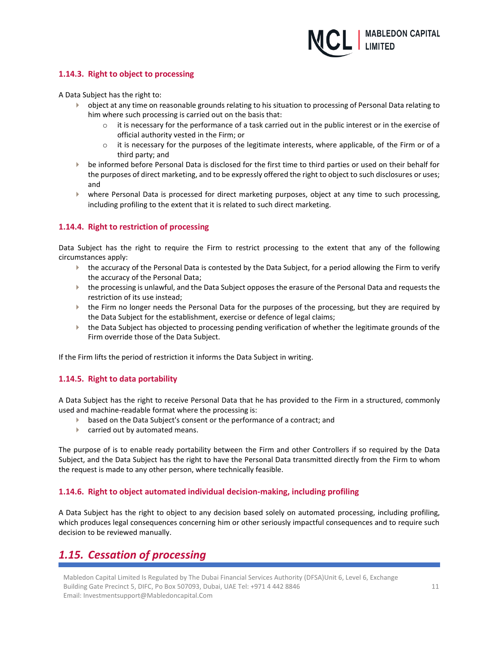

#### **1.14.3. Right to object to processing**

A Data Subject has the right to:

- $\blacktriangleright$  object at any time on reasonable grounds relating to his situation to processing of Personal Data relating to him where such processing is carried out on the basis that:
	- $\circ$  it is necessary for the performance of a task carried out in the public interest or in the exercise of official authority vested in the Firm; or
	- $\circ$  it is necessary for the purposes of the legitimate interests, where applicable, of the Firm or of a third party; and
- be informed before Personal Data is disclosed for the first time to third parties or used on their behalf for the purposes of direct marketing, and to be expressly offered the right to object to such disclosures or uses; and
- where Personal Data is processed for direct marketing purposes, object at any time to such processing, including profiling to the extent that it is related to such direct marketing.

#### **1.14.4. Right to restriction of processing**

Data Subject has the right to require the Firm to restrict processing to the extent that any of the following circumstances apply:

- the accuracy of the Personal Data is contested by the Data Subject, for a period allowing the Firm to verify the accuracy of the Personal Data;
- the processing is unlawful, and the Data Subject opposes the erasure of the Personal Data and requests the restriction of its use instead;
- $\blacktriangleright$  the Firm no longer needs the Personal Data for the purposes of the processing, but they are required by the Data Subject for the establishment, exercise or defence of legal claims;
- the Data Subject has objected to processing pending verification of whether the legitimate grounds of the Firm override those of the Data Subject.

If the Firm lifts the period of restriction it informs the Data Subject in writing.

#### **1.14.5. Right to data portability**

A Data Subject has the right to receive Personal Data that he has provided to the Firm in a structured, commonly used and machine-readable format where the processing is:

- **based on the Data Subject's consent or the performance of a contract; and**
- **Exercise 2** carried out by automated means.

The purpose of is to enable ready portability between the Firm and other Controllers if so required by the Data Subject, and the Data Subject has the right to have the Personal Data transmitted directly from the Firm to whom the request is made to any other person, where technically feasible.

#### **1.14.6. Right to object automated individual decision-making, including profiling**

A Data Subject has the right to object to any decision based solely on automated processing, including profiling, which produces legal consequences concerning him or other seriously impactful consequences and to require such decision to be reviewed manually.

## *1.15. Cessation of processing*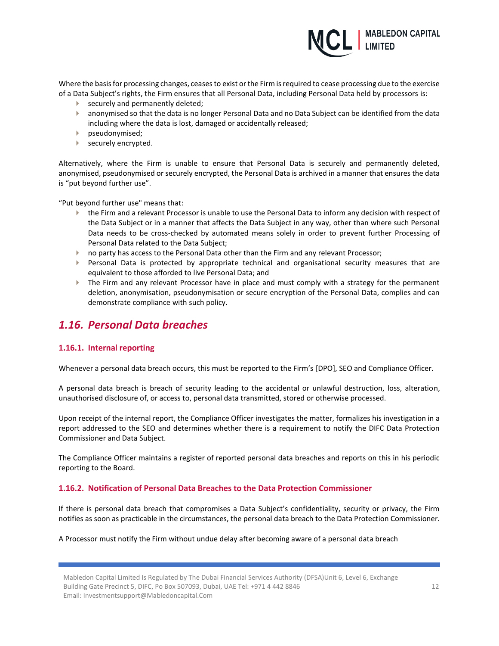

Where the basis for processing changes, ceases to exist or the Firm is required to cease processing due to the exercise of a Data Subject's rights, the Firm ensures that all Personal Data, including Personal Data held by processors is:

- **Securely and permanently deleted;**
- anonymised so that the data is no longer Personal Data and no Data Subject can be identified from the data including where the data is lost, damaged or accidentally released;
- **pseudonymised;**
- securely encrypted.

Alternatively, where the Firm is unable to ensure that Personal Data is securely and permanently deleted, anonymised, pseudonymised or securely encrypted, the Personal Data is archived in a manner that ensures the data is "put beyond further use".

"Put beyond further use" means that:

- the Firm and a relevant Processor is unable to use the Personal Data to inform any decision with respect of the Data Subject or in a manner that affects the Data Subject in any way, other than where such Personal Data needs to be cross-checked by automated means solely in order to prevent further Processing of Personal Data related to the Data Subject;
- **no party has access to the Personal Data other than the Firm and any relevant Processor;**
- Personal Data is protected by appropriate technical and organisational security measures that are equivalent to those afforded to live Personal Data; and
- The Firm and any relevant Processor have in place and must comply with a strategy for the permanent deletion, anonymisation, pseudonymisation or secure encryption of the Personal Data, complies and can demonstrate compliance with such policy.

### *1.16. Personal Data breaches*

#### **1.16.1. Internal reporting**

Whenever a personal data breach occurs, this must be reported to the Firm's [DPO], SEO and Compliance Officer.

A personal data breach is breach of security leading to the accidental or unlawful destruction, loss, alteration, unauthorised disclosure of, or access to, personal data transmitted, stored or otherwise processed.

Upon receipt of the internal report, the Compliance Officer investigates the matter, formalizes his investigation in a report addressed to the SEO and determines whether there is a requirement to notify the DIFC Data Protection Commissioner and Data Subject.

The Compliance Officer maintains a register of reported personal data breaches and reports on this in his periodic reporting to the Board.

#### **1.16.2. Notification of Personal Data Breaches to the Data Protection Commissioner**

If there is personal data breach that compromises a Data Subject's confidentiality, security or privacy, the Firm notifies as soon as practicable in the circumstances, the personal data breach to the Data Protection Commissioner.

#### A Processor must notify the Firm without undue delay after becoming aware of a personal data breach